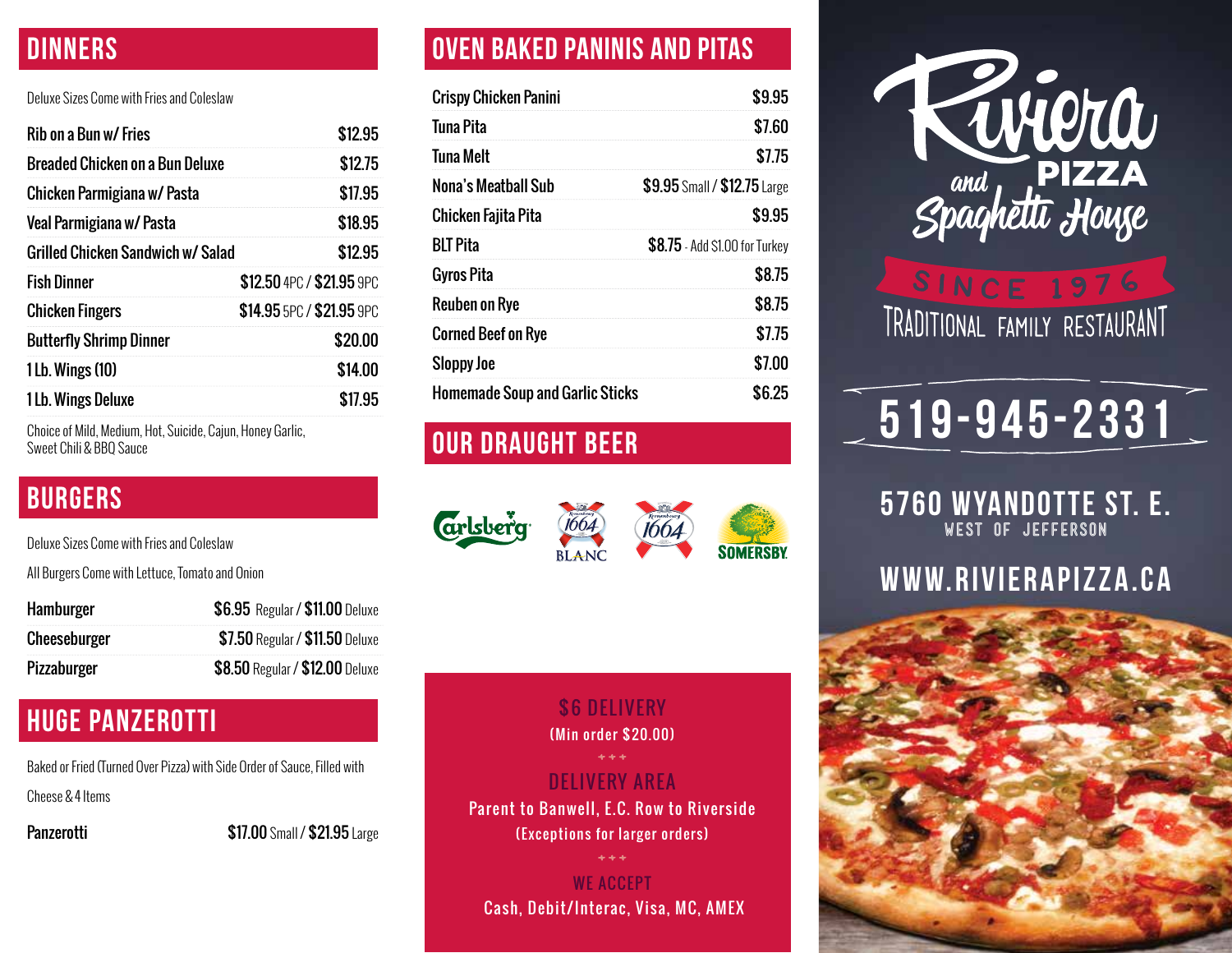### **DINNERS**

### Deluxe Sizes Come with Fries and Coleslaw

| Rib on a Bun w/ Fries             | \$12.95                   |
|-----------------------------------|---------------------------|
| Breaded Chicken on a Bun Deluxe   | \$12.75                   |
| Chicken Parmigiana w/ Pasta       | \$17.95                   |
| Veal Parmigiana w/ Pasta          | \$18.95                   |
| Grilled Chicken Sandwich w/ Salad | \$12.95                   |
| <b>Fish Dinner</b>                | \$12.50 4PC / \$21.95 9PC |
| <b>Chicken Fingers</b>            | \$14.95 5PC / \$21.95 9PC |
| <b>Butterfly Shrimp Dinner</b>    | \$20.00                   |
| 1 Lb. Wings (10)                  | \$14.00                   |
| 1 Lb. Wings Deluxe                | \$17.95                   |

Choice of Mild, Medium, Hot, Suicide, Cajun, Honey Garlic, Sweet Chili & BBQ Sauce

### BURGERS

Deluxe Sizes Come with Fries and Coleslaw

All Burgers Come with Lettuce, Tomato and Onion

| Hamburger    | \$6.95 Regular / \$11.00 Deluxe |
|--------------|---------------------------------|
| Cheeseburger | \$7.50 Regular / \$11.50 Deluxe |
| Pizzaburger  | \$8.50 Regular / \$12.00 Deluxe |

### HUGE PANZEROTTI

Baked or Fried (Turned Over Pizza) with Side Order of Sauce, Filled with Cheese & 4 Items

**Panzerotti \$17.00** Small / \$21.95 Large

### OVEN BAKED PANINIS AND PITAS

| <b>Crispy Chicken Panini</b>           | \$9.95                         |
|----------------------------------------|--------------------------------|
| Tuna Pita                              | \$7.60                         |
| <b>Tuna Melt</b>                       | \$7.75                         |
| Nona's Meatball Sub                    | \$9.95 Small / \$12.75 Large   |
| Chicken Fajita Pita                    | \$9.95                         |
| <b>BLT Pita</b>                        | \$8.75 - Add \$1.00 for Turkey |
| <b>Gyros Pita</b>                      | \$8.75                         |
| Reuben on Rye                          | \$8.75                         |
| <b>Corned Beef on Rye</b>              | \$7.75                         |
| <b>Sloppy Joe</b>                      | \$7.00                         |
| <b>Homemade Soup and Garlic Sticks</b> | \$6.25                         |

### Our DRAUGHT BEER

**arlsberg** 1664 **BLANC** 



### 5760 Wayndotte St. E. **WELIVERY AREA Exceptions for larger orders) \$6 DELIVERY** (Min order \$20.00) Parent to Banwell, E.C. Row to Riverside

WE ACCEPT Cash, Debit/Interac, Visa, MC, AMEX



## **SINCE 1976** TRADITIONAL FAMILY RESTAURANT

## $\sqrt{519}$ -945-2331

5760 WYANDOTTE St. E. **West of Jefferson**

### www.rivierapizza.ca